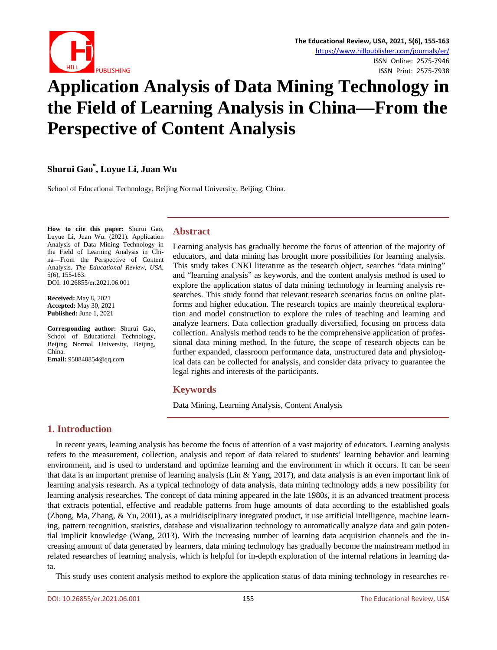

# **Application Analysis of Data Mining Technology in the Field of Learning Analysis in China—From the Perspective of Content Analysis**

# **Shurui Gao\* , Luyue Li, Juan Wu**

School of Educational Technology, Beijing Normal University, Beijing, China.

**How to cite this paper:** Shurui Gao, Luyue Li, Juan Wu. (2021). Application Analysis of Data Mining Technology in the Field of Learning Analysis in China—From the Perspective of Content Analysis. *The Educational Review, USA*, 5(6), 155-163. DOI: 10.26855/er.2021.06.001

**Received:** May 8, 2021 **Accepted:** May 30, 2021 **Published:** June 1, 2021

**Corresponding author:** Shurui Gao, School of Educational Technology, Beijing Normal University, Beijing, China.

**Email:** 958840854@qq.com

## **Abstract**

Learning analysis has gradually become the focus of attention of the majority of educators, and data mining has brought more possibilities for learning analysis. This study takes CNKI literature as the research object, searches "data mining" and "learning analysis" as keywords, and the content analysis method is used to explore the application status of data mining technology in learning analysis researches. This study found that relevant research scenarios focus on online platforms and higher education. The research topics are mainly theoretical exploration and model construction to explore the rules of teaching and learning and analyze learners. Data collection gradually diversified, focusing on process data collection. Analysis method tends to be the comprehensive application of professional data mining method. In the future, the scope of research objects can be further expanded, classroom performance data, unstructured data and physiological data can be collected for analysis, and consider data privacy to guarantee the legal rights and interests of the participants.

# **Keywords**

Data Mining, Learning Analysis, Content Analysis

# **1. Introduction**

In recent years, learning analysis has become the focus of attention of a vast majority of educators. Learning analysis refers to the measurement, collection, analysis and report of data related to students' learning behavior and learning environment, and is used to understand and optimize learning and the environment in which it occurs. It can be seen that data is an important premise of learning analysis (Lin & Yang, 2017), and data analysis is an even important link of learning analysis research. As a typical technology of data analysis, data mining technology adds a new possibility for learning analysis researches. The concept of data mining appeared in the late 1980s, it is an advanced treatment process that extracts potential, effective and readable patterns from huge amounts of data according to the established goals (Zhong, Ma, Zhang, & Yu, 2001), as a multidisciplinary integrated product, it use artificial intelligence, machine learning, pattern recognition, statistics, database and visualization technology to automatically analyze data and gain potential implicit knowledge (Wang, 2013). With the increasing number of learning data acquisition channels and the increasing amount of data generated by learners, data mining technology has gradually become the mainstream method in related researches of learning analysis, which is helpful for in-depth exploration of the internal relations in learning data.

This study uses content analysis method to explore the application status of data mining technology in researches re-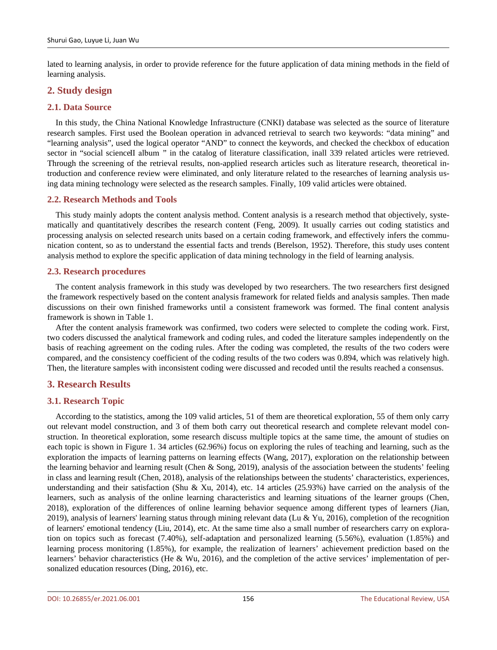lated to learning analysis, in order to provide reference for the future application of data mining methods in the field of learning analysis.

# **2. Study design**

## **2.1. Data Source**

In this study, the China National Knowledge Infrastructure (CNKI) database was selected as the source of literature research samples. First used the Boolean operation in advanced retrieval to search two keywords: "data mining" and "learning analysis", used the logical operator "AND" to connect the keywords, and checked the checkbox of education sector in "social science II album " in the catalog of literature classification, inall 339 related articles were retrieved. Through the screening of the retrieval results, non-applied research articles such as literature research, theoretical introduction and conference review were eliminated, and only literature related to the researches of learning analysis using data mining technology were selected as the research samples. Finally, 109 valid articles were obtained.

## **2.2. Research Methods and Tools**

This study mainly adopts the content analysis method. Content analysis is a research method that objectively, systematically and quantitatively describes the research content (Feng, 2009). It usually carries out coding statistics and processing analysis on selected research units based on a certain coding framework, and effectively infers the communication content, so as to understand the essential facts and trends (Berelson, 1952). Therefore, this study uses content analysis method to explore the specific application of data mining technology in the field of learning analysis.

## **2.3. Research procedures**

The content analysis framework in this study was developed by two researchers. The two researchers first designed the framework respectively based on the content analysis framework for related fields and analysis samples. Then made discussions on their own finished frameworks until a consistent framework was formed. The final content analysis framework is shown in Table 1.

After the content analysis framework was confirmed, two coders were selected to complete the coding work. First, two coders discussed the analytical framework and coding rules, and coded the literature samples independently on the basis of reaching agreement on the coding rules. After the coding was completed, the results of the two coders were compared, and the consistency coefficient of the coding results of the two coders was 0.894, which was relatively high. Then, the literature samples with inconsistent coding were discussed and recoded until the results reached a consensus.

# **3. Research Results**

# **3.1. Research Topic**

According to the statistics, among the 109 valid articles, 51 of them are theoretical exploration, 55 of them only carry out relevant model construction, and 3 of them both carry out theoretical research and complete relevant model construction. In theoretical exploration, some research discuss multiple topics at the same time, the amount of studies on each topic is shown in Figure 1. 34 articles (62.96%) focus on exploring the rules of teaching and learning, such as the exploration the impacts of learning patterns on learning effects (Wang, 2017), exploration on the relationship between the learning behavior and learning result (Chen & Song, 2019), analysis of the association between the students' feeling in class and learning result (Chen, 2018), analysis of the relationships between the students' characteristics, experiences, understanding and their satisfaction (Shu & Xu, 2014), etc. 14 articles (25.93%) have carried on the analysis of the learners, such as analysis of the online learning characteristics and learning situations of the learner groups (Chen, 2018), exploration of the differences of online learning behavior sequence among different types of learners (Jian, 2019), analysis of learners' learning status through mining relevant data (Lu & Yu, 2016), completion of the recognition of learners' emotional tendency (Liu, 2014), etc. At the same time also a small number of researchers carry on exploration on topics such as forecast (7.40%), self-adaptation and personalized learning (5.56%), evaluation (1.85%) and learning process monitoring (1.85%), for example, the realization of learners' achievement prediction based on the learners' behavior characteristics (He & Wu, 2016), and the completion of the active services' implementation of personalized education resources (Ding, 2016), etc.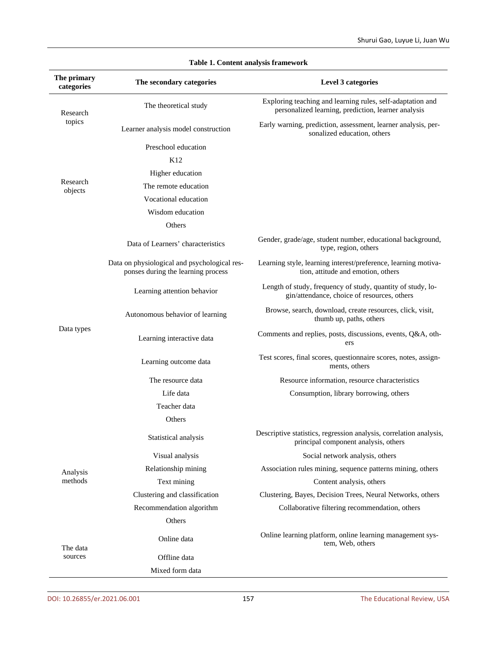| The primary<br>categories | The secondary categories                                                           | <b>Level 3 categories</b>                                                                                         |
|---------------------------|------------------------------------------------------------------------------------|-------------------------------------------------------------------------------------------------------------------|
| Research<br>topics        | The theoretical study                                                              | Exploring teaching and learning rules, self-adaptation and<br>personalized learning, prediction, learner analysis |
|                           | Learner analysis model construction                                                | Early warning, prediction, assessment, learner analysis, per-<br>sonalized education, others                      |
| Research<br>objects       | Preschool education                                                                |                                                                                                                   |
|                           | K <sub>12</sub>                                                                    |                                                                                                                   |
|                           | Higher education                                                                   |                                                                                                                   |
|                           | The remote education                                                               |                                                                                                                   |
|                           | Vocational education                                                               |                                                                                                                   |
|                           | Wisdom education                                                                   |                                                                                                                   |
|                           | Others                                                                             |                                                                                                                   |
| Data types                | Data of Learners' characteristics                                                  | Gender, grade/age, student number, educational background,<br>type, region, others                                |
|                           | Data on physiological and psychological res-<br>ponses during the learning process | Learning style, learning interest/preference, learning motiva-<br>tion, attitude and emotion, others              |
|                           | Learning attention behavior                                                        | Length of study, frequency of study, quantity of study, lo-<br>gin/attendance, choice of resources, others        |
|                           | Autonomous behavior of learning                                                    | Browse, search, download, create resources, click, visit,<br>thumb up, paths, others                              |
|                           | Learning interactive data                                                          | Comments and replies, posts, discussions, events, Q&A, oth-<br>ers                                                |
|                           | Learning outcome data                                                              | Test scores, final scores, questionnaire scores, notes, assign-<br>ments, others                                  |
|                           | The resource data                                                                  | Resource information, resource characteristics                                                                    |
|                           | Life data                                                                          | Consumption, library borrowing, others                                                                            |
|                           | Teacher data                                                                       |                                                                                                                   |
|                           | Others                                                                             |                                                                                                                   |
| Analysis<br>methods       | Statistical analysis                                                               | Descriptive statistics, regression analysis, correlation analysis,<br>principal component analysis, others        |
|                           | Visual analysis                                                                    | Social network analysis, others                                                                                   |
|                           | Relationship mining                                                                | Association rules mining, sequence patterns mining, others                                                        |
|                           | Text mining                                                                        | Content analysis, others                                                                                          |
|                           | Clustering and classification                                                      | Clustering, Bayes, Decision Trees, Neural Networks, others                                                        |
|                           | Recommendation algorithm                                                           | Collaborative filtering recommendation, others                                                                    |
|                           | Others                                                                             |                                                                                                                   |
| The data<br>sources       | Online data                                                                        | Online learning platform, online learning management sys-<br>tem, Web, others                                     |
|                           | Offline data                                                                       |                                                                                                                   |
|                           | Mixed form data                                                                    |                                                                                                                   |

#### **Table 1. Content analysis framework**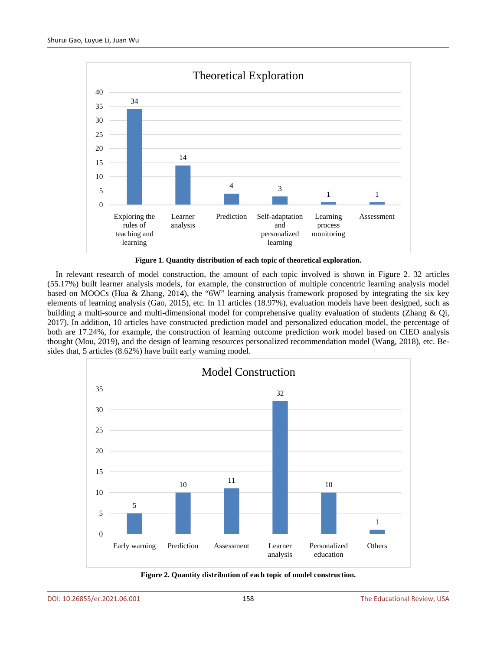

**Figure 1. Quantity distribution of each topic of theoretical exploration.**

In relevant research of model construction, the amount of each topic involved is shown in Figure 2. 32 articles (55.17%) built learner analysis models, for example, the construction of multiple concentric learning analysis model based on MOOCs (Hua & Zhang, 2014), the "6W" learning analysis framework proposed by integrating the six key elements of learning analysis (Gao, 2015), etc. In 11 articles (18.97%), evaluation models have been designed, such as building a multi-source and multi-dimensional model for comprehensive quality evaluation of students (Zhang & Qi, 2017). In addition, 10 articles have constructed prediction model and personalized education model, the percentage of both are 17.24%, for example, the construction of learning outcome prediction work model based on CIEO analysis thought (Mou, 2019), and the design of learning resources personalized recommendation model (Wang, 2018), etc. Besides that, 5 articles (8.62%) have built early warning model.



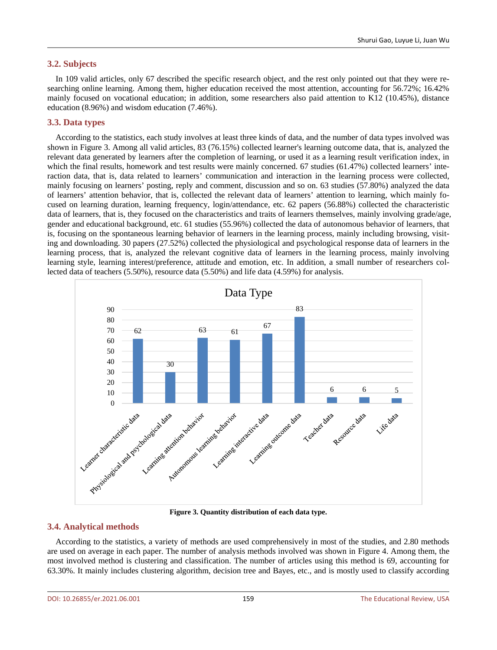In 109 valid articles, only 67 described the specific research object, and the rest only pointed out that they were researching online learning. Among them, higher education received the most attention, accounting for 56.72%; 16.42% mainly focused on vocational education; in addition, some researchers also paid attention to K12 (10.45%), distance education (8.96%) and wisdom education (7.46%).

# **3.3. Data types**

According to the statistics, each study involves at least three kinds of data, and the number of data types involved was shown in Figure 3. Among all valid articles, 83 (76.15%) collected learner's learning outcome data, that is, analyzed the relevant data generated by learners after the completion of learning, or used it as a learning result verification index, in which the final results, homework and test results were mainly concerned. 67 studies (61.47%) collected learners' interaction data, that is, data related to learners' communication and interaction in the learning process were collected, mainly focusing on learners' posting, reply and comment, discussion and so on. 63 studies (57.80%) analyzed the data of learners' attention behavior, that is, collected the relevant data of learners' attention to learning, which mainly focused on learning duration, learning frequency, login/attendance, etc. 62 papers (56.88%) collected the characteristic data of learners, that is, they focused on the characteristics and traits of learners themselves, mainly involving grade/age, gender and educational background, etc. 61 studies (55.96%) collected the data of autonomous behavior of learners, that is, focusing on the spontaneous learning behavior of learners in the learning process, mainly including browsing, visiting and downloading. 30 papers (27.52%) collected the physiological and psychological response data of learners in the learning process, that is, analyzed the relevant cognitive data of learners in the learning process, mainly involving learning style, learning interest/preference, attitude and emotion, etc. In addition, a small number of researchers collected data of teachers (5.50%), resource data (5.50%) and life data (4.59%) for analysis.



**Figure 3. Quantity distribution of each data type.**

# **3.4. Analytical methods**

According to the statistics, a variety of methods are used comprehensively in most of the studies, and 2.80 methods are used on average in each paper. The number of analysis methods involved was shown in Figure 4. Among them, the most involved method is clustering and classification. The number of articles using this method is 69, accounting for 63.30%. It mainly includes clustering algorithm, decision tree and Bayes, etc., and is mostly used to classify according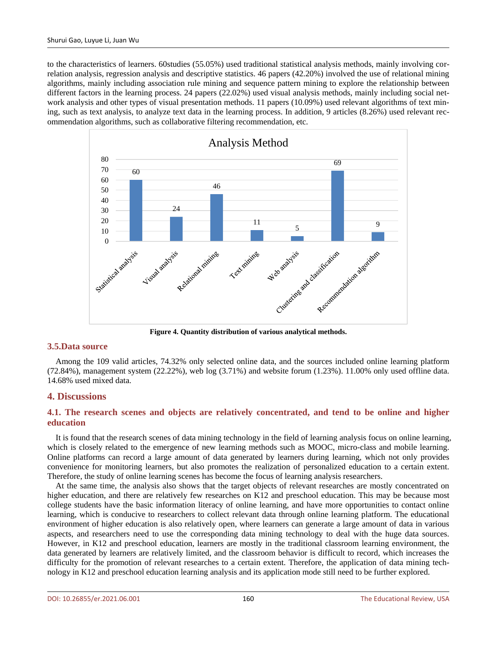to the characteristics of learners. 60studies (55.05%) used traditional statistical analysis methods, mainly involving correlation analysis, regression analysis and descriptive statistics. 46 papers (42.20%) involved the use of relational mining algorithms, mainly including association rule mining and sequence pattern mining to explore the relationship between different factors in the learning process. 24 papers (22.02%) used visual analysis methods, mainly including social network analysis and other types of visual presentation methods. 11 papers (10.09%) used relevant algorithms of text mining, such as text analysis, to analyze text data in the learning process. In addition, 9 articles (8.26%) used relevant recommendation algorithms, such as collaborative filtering recommendation, etc.



**Figure 4. Quantity distribution of various analytical methods.**

# **3.5.Data source**

Among the 109 valid articles, 74.32% only selected online data, and the sources included online learning platform (72.84%), management system (22.22%), web log (3.71%) and website forum (1.23%). 11.00% only used offline data. 14.68% used mixed data.

# **4. Discussions**

# **4.1. The research scenes and objects are relatively concentrated, and tend to be online and higher education**

It is found that the research scenes of data mining technology in the field of learning analysis focus on online learning, which is closely related to the emergence of new learning methods such as MOOC, micro-class and mobile learning. Online platforms can record a large amount of data generated by learners during learning, which not only provides convenience for monitoring learners, but also promotes the realization of personalized education to a certain extent. Therefore, the study of online learning scenes has become the focus of learning analysis researchers.

At the same time, the analysis also shows that the target objects of relevant researches are mostly concentrated on higher education, and there are relatively few researches on K12 and preschool education. This may be because most college students have the basic information literacy of online learning, and have more opportunities to contact online learning, which is conducive to researchers to collect relevant data through online learning platform. The educational environment of higher education is also relatively open, where learners can generate a large amount of data in various aspects, and researchers need to use the corresponding data mining technology to deal with the huge data sources. However, in K12 and preschool education, learners are mostly in the traditional classroom learning environment, the data generated by learners are relatively limited, and the classroom behavior is difficult to record, which increases the difficulty for the promotion of relevant researches to a certain extent. Therefore, the application of data mining technology in K12 and preschool education learning analysis and its application mode still need to be further explored.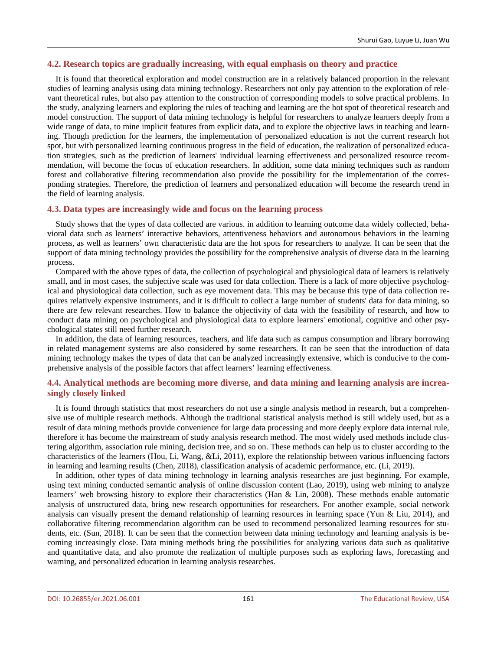#### **4.2. Research topics are gradually increasing, with equal emphasis on theory and practice**

It is found that theoretical exploration and model construction are in a relatively balanced proportion in the relevant studies of learning analysis using data mining technology. Researchers not only pay attention to the exploration of relevant theoretical rules, but also pay attention to the construction of corresponding models to solve practical problems. In the study, analyzing learners and exploring the rules of teaching and learning are the hot spot of theoretical research and model construction. The support of data mining technology is helpful for researchers to analyze learners deeply from a wide range of data, to mine implicit features from explicit data, and to explore the objective laws in teaching and learning. Though prediction for the learners, the implementation of personalized education is not the current research hot spot, but with personalized learning continuous progress in the field of education, the realization of personalized education strategies, such as the prediction of learners' individual learning effectiveness and personalized resource recommendation, will become the focus of education researchers. In addition, some data mining techniques such as random forest and collaborative filtering recommendation also provide the possibility for the implementation of the corresponding strategies. Therefore, the prediction of learners and personalized education will become the research trend in the field of learning analysis.

#### **4.3. Data types are increasingly wide and focus on the learning process**

Study shows that the types of data collected are various. in addition to learning outcome data widely collected, behavioral data such as learners' interactive behaviors, attentiveness behaviors and autonomous behaviors in the learning process, as well as learners' own characteristic data are the hot spots for researchers to analyze. It can be seen that the support of data mining technology provides the possibility for the comprehensive analysis of diverse data in the learning process.

Compared with the above types of data, the collection of psychological and physiological data of learners is relatively small, and in most cases, the subjective scale was used for data collection. There is a lack of more objective psychological and physiological data collection, such as eye movement data. This may be because this type of data collection requires relatively expensive instruments, and it is difficult to collect a large number of students' data for data mining, so there are few relevant researches. How to balance the objectivity of data with the feasibility of research, and how to conduct data mining on psychological and physiological data to explore learners' emotional, cognitive and other psychological states still need further research.

In addition, the data of learning resources, teachers, and life data such as campus consumption and library borrowing in related management systems are also considered by some researchers. It can be seen that the introduction of data mining technology makes the types of data that can be analyzed increasingly extensive, which is conducive to the comprehensive analysis of the possible factors that affect learners' learning effectiveness.

## **4.4. Analytical methods are becoming more diverse, and data mining and learning analysis are increasingly closely linked**

It is found through statistics that most researchers do not use a single analysis method in research, but a comprehensive use of multiple research methods. Although the traditional statistical analysis method is still widely used, but as a result of data mining methods provide convenience for large data processing and more deeply explore data internal rule, therefore it has become the mainstream of study analysis research method. The most widely used methods include clustering algorithm, association rule mining, decision tree, and so on. These methods can help us to cluster according to the characteristics of the learners (Hou, Li, Wang, &Li, 2011), explore the relationship between various influencing factors in learning and learning results (Chen, 2018), classification analysis of academic performance, etc. (Li, 2019).

In addition, other types of data mining technology in learning analysis researches are just beginning. For example, using text mining conducted semantic analysis of online discussion content (Lao, 2019), using web mining to analyze learners' web browsing history to explore their characteristics (Han & Lin, 2008). These methods enable automatic analysis of unstructured data, bring new research opportunities for researchers. For another example, social network analysis can visually present the demand relationship of learning resources in learning space (Yun & Liu, 2014), and collaborative filtering recommendation algorithm can be used to recommend personalized learning resources for students, etc. (Sun, 2018). It can be seen that the connection between data mining technology and learning analysis is becoming increasingly close. Data mining methods bring the possibilities for analyzing various data such as qualitative and quantitative data, and also promote the realization of multiple purposes such as exploring laws, forecasting and warning, and personalized education in learning analysis researches.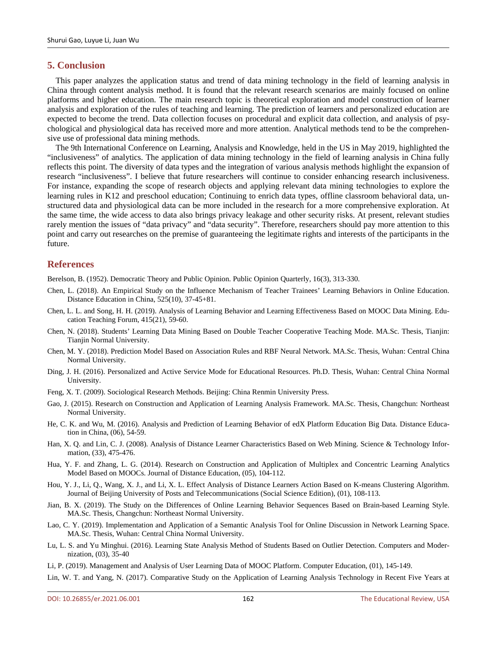## **5. Conclusion**

This paper analyzes the application status and trend of data mining technology in the field of learning analysis in China through content analysis method. It is found that the relevant research scenarios are mainly focused on online platforms and higher education. The main research topic is theoretical exploration and model construction of learner analysis and exploration of the rules of teaching and learning. The prediction of learners and personalized education are expected to become the trend. Data collection focuses on procedural and explicit data collection, and analysis of psychological and physiological data has received more and more attention. Analytical methods tend to be the comprehensive use of professional data mining methods.

The 9th International Conference on Learning, Analysis and Knowledge, held in the US in May 2019, highlighted the "inclusiveness" of analytics. The application of data mining technology in the field of learning analysis in China fully reflects this point. The diversity of data types and the integration of various analysis methods highlight the expansion of research "inclusiveness". I believe that future researchers will continue to consider enhancing research inclusiveness. For instance, expanding the scope of research objects and applying relevant data mining technologies to explore the learning rules in K12 and preschool education; Continuing to enrich data types, offline classroom behavioral data, unstructured data and physiological data can be more included in the research for a more comprehensive exploration. At the same time, the wide access to data also brings privacy leakage and other security risks. At present, relevant studies rarely mention the issues of "data privacy" and "data security". Therefore, researchers should pay more attention to this point and carry out researches on the premise of guaranteeing the legitimate rights and interests of the participants in the future.

#### **References**

Berelson, B. (1952). Democratic Theory and Public Opinion. Public Opinion Quarterly, 16(3), 313-330.

- Chen, L. (2018). An Empirical Study on the Influence Mechanism of Teacher Trainees' Learning Behaviors in Online Education. Distance Education in China, 525(10), 37-45+81.
- Chen, L. L. and Song, H. H. (2019). Analysis of Learning Behavior and Learning Effectiveness Based on MOOC Data Mining. Education Teaching Forum, 415(21), 59-60.
- Chen, N. (2018). Students' Learning Data Mining Based on Double Teacher Cooperative Teaching Mode. MA.Sc. Thesis, Tianjin: Tianjin Normal University.
- Chen, M. Y. (2018). Prediction Model Based on Association Rules and RBF Neural Network. MA.Sc. Thesis, Wuhan: Central China Normal University.
- Ding, J. H. (2016). Personalized and Active Service Mode for Educational Resources. Ph.D. Thesis, Wuhan: Central China Normal University.
- Feng, X. T. (2009). Sociological Research Methods. Beijing: China Renmin University Press.
- Gao, J. (2015). Research on Construction and Application of Learning Analysis Framework. MA.Sc. Thesis, Changchun: Northeast Normal University.
- He, C. K. and Wu, M. (2016). Analysis and Prediction of Learning Behavior of edX Platform Education Big Data. Distance Education in China, (06), 54-59.
- Han, X. Q. and Lin, C. J. (2008). Analysis of Distance Learner Characteristics Based on Web Mining. Science & Technology Information, (33), 475-476.
- Hua, Y. F. and Zhang, L. G. (2014). Research on Construction and Application of Multiplex and Concentric Learning Analytics Model Based on MOOCs. Journal of Distance Education, (05), 104-112.
- Hou, Y. J., Li, Q., Wang, X. J., and Li, X. L. Effect Analysis of Distance Learners Action Based on K-means Clustering Algorithm. Journal of Beijing University of Posts and Telecommunications (Social Science Edition), (01), 108-113.
- Jian, B. X. (2019). The Study on the Differences of Online Learning Behavior Sequences Based on Brain-based Learning Style. MA.Sc. Thesis, Changchun: Northeast Normal University.
- Lao, C. Y. (2019). Implementation and Application of a Semantic Analysis Tool for Online Discussion in Network Learning Space. MA.Sc. Thesis, Wuhan: Central China Normal University.
- Lu, L. S. and Yu Minghui. (2016). Learning State Analysis Method of Students Based on Outlier Detection. Computers and Modernization, (03), 35-40
- Li, P. (2019). Management and Analysis of User Learning Data of MOOC Platform. Computer Education, (01), 145-149.
- Lin, W. T. and Yang, N. (2017). Comparative Study on the Application of Learning Analysis Technology in Recent Five Years at